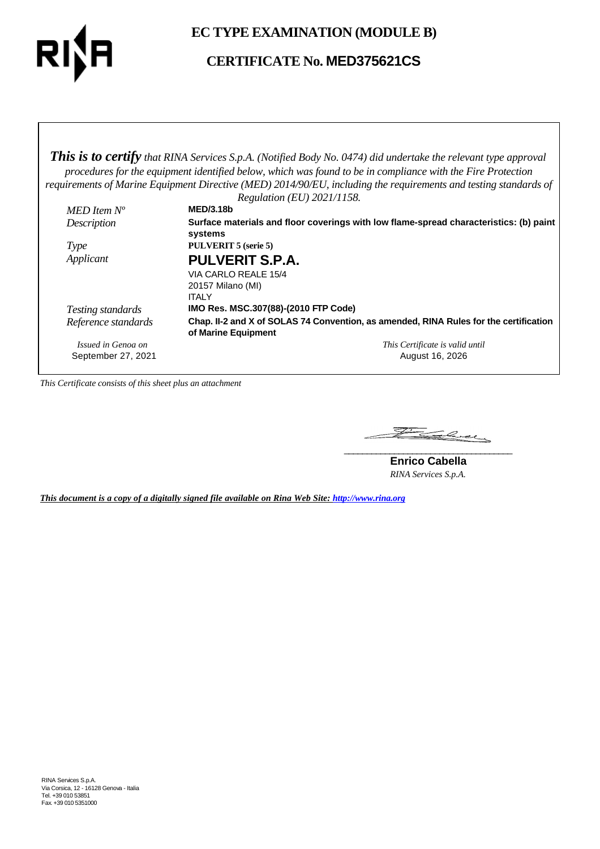

**EC TYPE EXAMINATION (MODULE B)**

**CERTIFICATE No. MED375621CS**

*This is to certify that RINA Services S.p.A. (Notified Body No. 0474) did undertake the relevant type approval procedures for the equipment identified below, which was found to be in compliance with the Fire Protection requirements of Marine Equipment Directive (MED) 2014/90/EU, including the requirements and testing standards of Regulation (EU) 2021/1158.*

|                     | Regulation (EU) $2021/1138$ .                                                                                |
|---------------------|--------------------------------------------------------------------------------------------------------------|
| MED Item $N^o$      | <b>MED/3.18b</b>                                                                                             |
| Description         | Surface materials and floor coverings with low flame-spread characteristics: (b) paint                       |
|                     | systems                                                                                                      |
| <i>Type</i>         | <b>PULVERIT 5 (serie 5)</b>                                                                                  |
| Applicant           | <b>PULVERIT S.P.A.</b>                                                                                       |
|                     | VIA CARLO REALE 15/4                                                                                         |
|                     | 20157 Milano (MI)                                                                                            |
|                     | <b>ITALY</b>                                                                                                 |
| Testing standards   | IMO Res. MSC.307(88)-(2010 FTP Code)                                                                         |
| Reference standards | Chap. II-2 and X of SOLAS 74 Convention, as amended, RINA Rules for the certification<br>of Marine Equipment |
| Issued in Genoa on  | This Certificate is valid until                                                                              |
| September 27, 2021  | August 16, 2026                                                                                              |

*This Certificate consists of this sheet plus an attachment*

Family Come **\_\_\_\_\_\_\_\_\_\_\_\_\_\_\_\_\_\_\_\_\_\_\_\_\_\_\_\_\_\_\_\_\_\_\_\_\_**

**Enrico Cabella** *RINA Services S.p.A.*

*This document is a copy of a digitally signed file available on Rina Web Site: http://www.rina.org*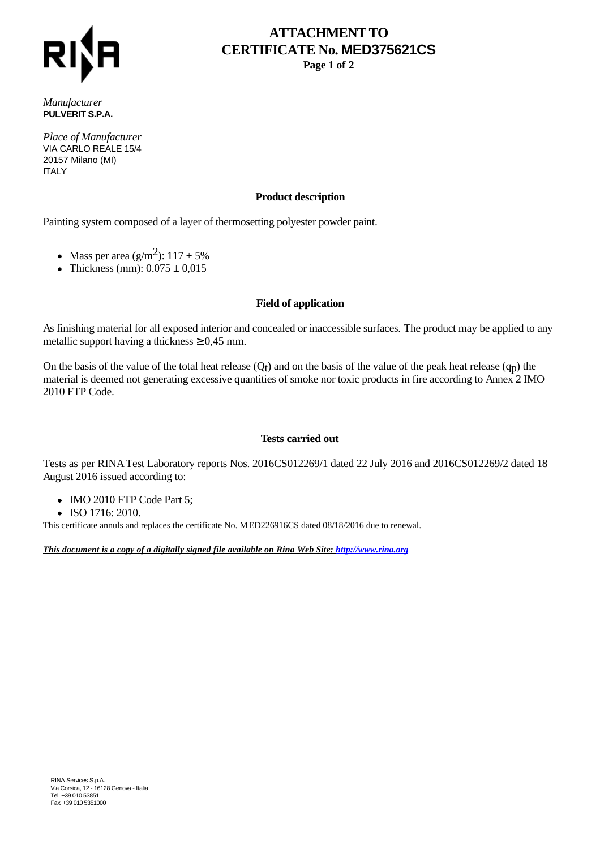

# **ATTACHMENT TO CERTIFICATE No. MED375621CS**

**Page 1 of 2**

*Manufacturer* **PULVERIT S.P.A.**

*Place of Manufacturer* VIA CARLO REALE 15/4 20157 Milano (MI) **ITALY** 

### **Product description**

Painting system composed of a layer of thermosetting polyester powder paint.

- Mass per area  $(g/m^2)$ : 117 ± 5%
- Thickness (mm):  $0.075 \pm 0.015$

#### **Field of application**

As finishing material for all exposed interior and concealed or inaccessible surfaces. The product may be applied to any metallic support having a thickness  $\geq 0.45$  mm.

On the basis of the value of the total heat release  $(Q_t)$  and on the basis of the value of the peak heat release  $(q_p)$  the material is deemed not generating excessive quantities of smoke nor toxic products in fire according to Annex 2 IMO 2010 FTP Code.

#### **Tests carried out**

Tests as per RINA Test Laboratory reports Nos. 2016CS012269/1 dated 22 July 2016 and 2016CS012269/2 dated 18 August 2016 issued according to:

- IMO 2010 FTP Code Part 5;
- ISO 1716: 2010.

This certificate annuls and replaces the certificate No. MED226916CS dated 08/18/2016 due to renewal.

*This document is a copy of a digitally signed file available on Rina Web Site: http://www.rina.org*